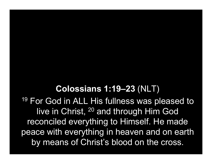#### Colossians 1:19–23 (NLT)

<sup>19</sup> For God in ALL His fullness was pleased to live in Christ, <sup>20</sup> and through Him God reconciled everything to Himself. He made peace with everything in heaven and on earth by means of Christ's blood on the cross.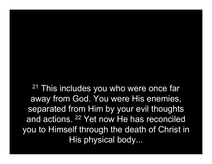<sup>21</sup> This includes you who were once far away from God. You were His enemies, separated from Him by your evil thoughts and actions. <sup>22</sup> Yet now He has reconciled you to Himself through the death of Christ in His physical body...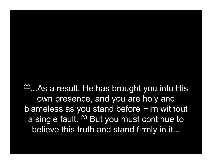<sup>22</sup>...As a result, He has brought you into His own presence, and you are holy and blameless as you stand before Him without a single fault. <sup>23</sup> But you must continue to believe this truth and stand firmly in it...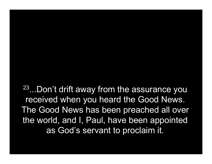<sup>23</sup>...Don't drift away from the assurance you received when you heard the Good News. The Good News has been preached all over the world, and I, Paul, have been appointed as God's servant to proclaim it.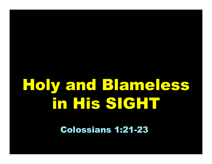# Holy and Blameless in His SIGHT

Colossians 1:21-23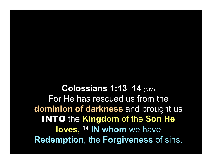Colossians 1:13-14 (NIV) For He has rescued us from the dominion of darkness and brought us INTO the Kingdom of the Son He loves, <sup>14</sup> IN whom we have Redemption, the Forgiveness of sins.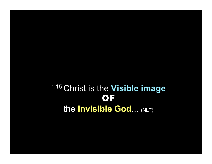### 1:15 Christ is the Visible image OF the Invisible God... (NLT)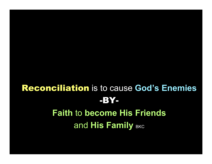## Reconciliation is to cause God's Enemies -BY-Faith to become His Friends and His Family BKC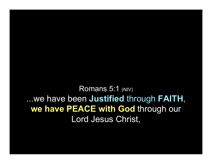Romans 5:1 (NIV) ...we have been Justified through FAITH, we have PEACE with God through our Lord Jesus Christ,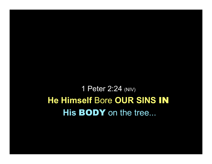1 Peter 2:24 (NIV) He Himself Bore OUR SINS IN His **BODY** on the tree...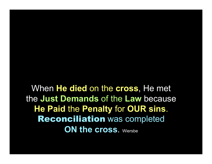When He died on the cross, He met the Just Demands of the Law because He Paid the Penalty for OUR sins. Reconciliation was completed ON the cross. Wiersbe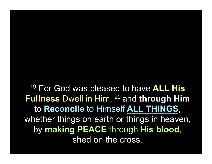<sup>19</sup> For God was pleased to have ALL His Fullness Dwell in Him, <sup>20</sup> and through Him to Reconcile to Himself ALL THINGS, whether things on earth or things in heaven, by making PEACE through His blood, shed on the cross.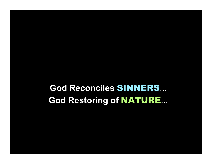God Reconciles SINNERS... God Restoring of NATURE...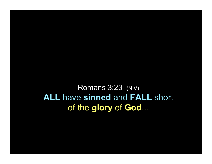Romans 3:23 (NIV) **ALL have sinned and FALL short** of the glory of God...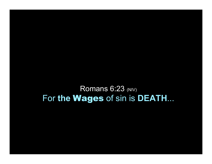Romans 6:23 (NIV) For the Wages of sin is DEATH...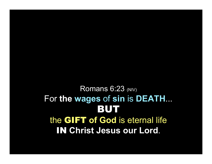#### Romans 6:23 (NIV) For the wages of sin is DEATH... BUT the GIFT of God is eternal life **IN Christ Jesus our Lord.**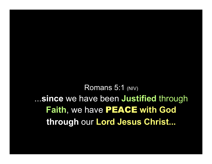Romans 5:1 (NIV) ...since we have been Justified through Faith, we have PEACE with God through our Lord Jesus Christ...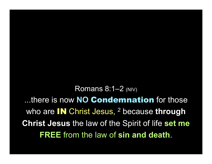**Romans 8:1-2 (NIV)** ...there is now NO Condemnation for those who are **IN** Christ Jesus, <sup>2</sup> because through **Christ Jesus the law of the Spirit of life set me FREE** from the law of sin and death.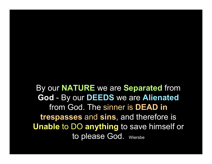By our **NATURE** we are **Separated** from God - By our DEEDS we are Alienated from God. The sinner is DEAD in trespasses and sins, and therefore is Unable to DO anything to save himself or to please God. Wiersbe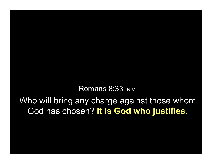Romans 8:33 (NIV)

Who will bring any charge against those whom God has chosen? It is God who justifies.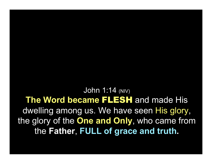John 1:14 (NIV) The Word became FLESH and made His dwelling among us. We have seen His glory, the glory of the **One and Only**, who came from the Father, FULL of grace and truth.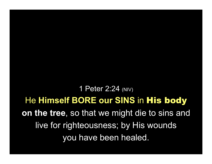1 Peter 2:24 (NIV) He Himself BORE our SINS in His body on the tree, so that we might die to sins and live for righteousness; by His wounds you have been healed.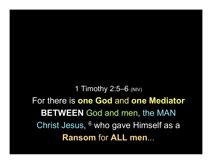1 Timothy 2:5-6 (NIV) For there is one God and one Mediator **BETWEEN God and men, the MAN** Christ Jesus, <sup>6</sup> who gave Himself as a **Ransom for ALL men...**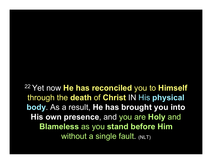<sup>22</sup> Yet now He has reconciled you to Himself through the death of Christ IN His physical body. As a result, He has brought you into His own presence, and you are Holy and Blameless as you stand before Him Without a single fault. (NLT)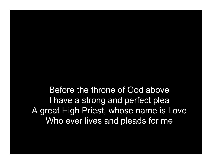Before the throne of God above I have a strong and perfect plea A great High Priest, whose name is Love Who ever lives and pleads for me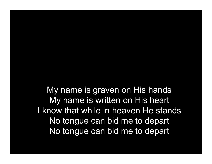My name is graven on His hands My name is written on His heart I know that while in heaven He stands No tongue can bid me to depart No tongue can bid me to depart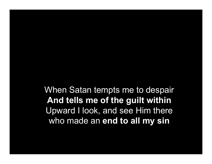When Satan tempts me to despair And tells me of the guilt within Upward I look, and see Him there who made an end to all my sin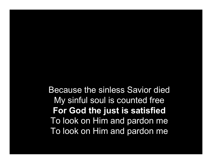Because the sinless Savior died My sinful soul is counted free For God the just is satisfied To look on Him and pardon me To look on Him and pardon me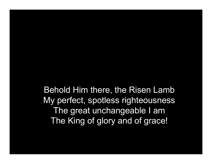Behold Him there, the Risen Lamb My perfect, spotless righteousness The great unchangeable I am The King of glory and of grace!